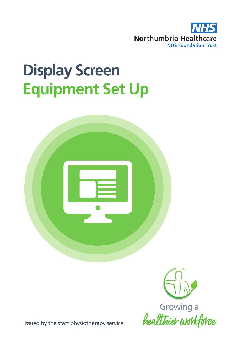

# **Display Screen Equipment Set Up**





Issued by the staff physiotherapy service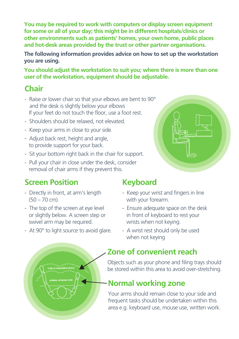**You may be required to work with computers or display screen equipment for some or all of your day; this might be in different hospitals/clinics or other environments such as patients' homes, your own home, public places and hot-desk areas provided by the trust or other partner organisations.**

**The following information provides advice on how to set up the workstation you are using.**

**You should adjust the workstation to suit you; where there is more than one user of the workstation, equipment should be adjustable.**

# **Chair**

- Raise or lower chair so that your elbows are bent to 90° and the desk is slightly below your elbows If your feet do not touch the floor, use a foot rest.
- Shoulders should be relaxed, not elevated.
- Keep your arms in close to your side.
- Adjust back rest, height and angle, to provide support for your back.
- Sit your bottom right back in the chair for support.
- Pull your chair in close under the desk, consider removal of chair arms if they prevent this.

# **Screen Position**

- Directly in front, at arm's length (50 – 70 cm).
- The top of the screen at eye level or slightly below. A screen step or swivel arm may be required.
- At 90° to light source to avoid glare.

# **Keyboard**

- Keep your wrist and fingers in line with your forearm.
- Ensure adequate space on the desk in front of keyboard to rest your wrists when not keying.
- A wrist rest should only be used when not keying

## **Zone of convenient reach**

Objects such as your phone and filing trays should be stored within this area to avoid over-stretching.

## **Normal working zone**

Your arms should remain close to your side and frequent tasks should be undertaken within this area e.g. keyboard use, mouse use, written work.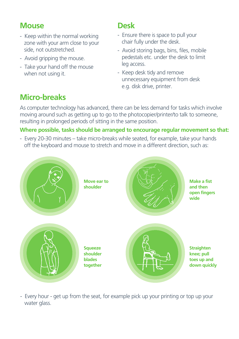#### **Mouse**

- Keep within the normal working zone with your arm close to your side, not outstretched.
- Avoid gripping the mouse.
- Take your hand off the mouse when not using it.

#### **Desk**

- Ensure there is space to pull your chair fully under the desk.
- Avoid storing bags, bins, files, mobile pedestals etc. under the desk to limit leg access.
- Keep desk tidy and remove unnecessary equipment from desk e.g. disk drive, printer.

# **Micro-breaks**

As computer technology has advanced, there can be less demand for tasks which involve moving around such as getting up to go to the photocopier/printer/to talk to someone, resulting in prolonged periods of sitting in the same position.

#### **Where possible, tasks should be arranged to encourage regular movement so that:**

- Every 20-30 minutes – take micro-breaks while seated, for example, take your hands off the keyboard and mouse to stretch and move in a different direction, such as:



- Every hour - get up from the seat, for example pick up your printing or top up your water glass.